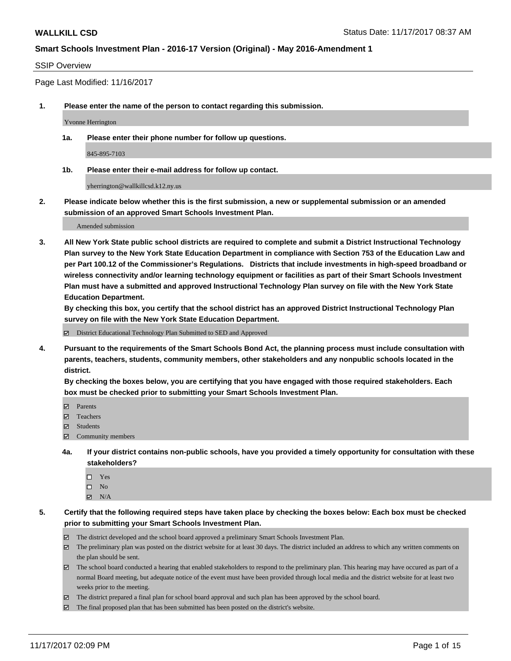#### SSIP Overview

Page Last Modified: 11/16/2017

**1. Please enter the name of the person to contact regarding this submission.**

Yvonne Herrington

**1a. Please enter their phone number for follow up questions.**

845-895-7103

**1b. Please enter their e-mail address for follow up contact.**

yherrington@wallkillcsd.k12.ny.us

**2. Please indicate below whether this is the first submission, a new or supplemental submission or an amended submission of an approved Smart Schools Investment Plan.**

Amended submission

**3. All New York State public school districts are required to complete and submit a District Instructional Technology Plan survey to the New York State Education Department in compliance with Section 753 of the Education Law and per Part 100.12 of the Commissioner's Regulations. Districts that include investments in high-speed broadband or wireless connectivity and/or learning technology equipment or facilities as part of their Smart Schools Investment Plan must have a submitted and approved Instructional Technology Plan survey on file with the New York State Education Department.** 

**By checking this box, you certify that the school district has an approved District Instructional Technology Plan survey on file with the New York State Education Department.**

District Educational Technology Plan Submitted to SED and Approved

**4. Pursuant to the requirements of the Smart Schools Bond Act, the planning process must include consultation with parents, teachers, students, community members, other stakeholders and any nonpublic schools located in the district.** 

**By checking the boxes below, you are certifying that you have engaged with those required stakeholders. Each box must be checked prior to submitting your Smart Schools Investment Plan.**

- **Parents**
- Teachers
- **☑** Students
- $\Xi$  Community members
- **4a. If your district contains non-public schools, have you provided a timely opportunity for consultation with these stakeholders?**
	- □ Yes
	- $\square$  No
	- $\boxtimes$  N/A

**5. Certify that the following required steps have taken place by checking the boxes below: Each box must be checked prior to submitting your Smart Schools Investment Plan.**

- The district developed and the school board approved a preliminary Smart Schools Investment Plan.
- The preliminary plan was posted on the district website for at least 30 days. The district included an address to which any written comments on the plan should be sent.
- The school board conducted a hearing that enabled stakeholders to respond to the preliminary plan. This hearing may have occured as part of a normal Board meeting, but adequate notice of the event must have been provided through local media and the district website for at least two weeks prior to the meeting.
- The district prepared a final plan for school board approval and such plan has been approved by the school board.
- $\boxtimes$  The final proposed plan that has been submitted has been posted on the district's website.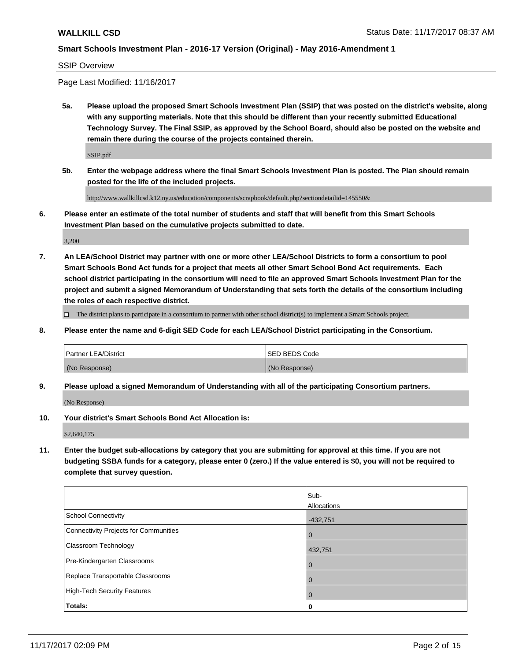#### SSIP Overview

Page Last Modified: 11/16/2017

**5a. Please upload the proposed Smart Schools Investment Plan (SSIP) that was posted on the district's website, along with any supporting materials. Note that this should be different than your recently submitted Educational Technology Survey. The Final SSIP, as approved by the School Board, should also be posted on the website and remain there during the course of the projects contained therein.**

SSIP.pdf

**5b. Enter the webpage address where the final Smart Schools Investment Plan is posted. The Plan should remain posted for the life of the included projects.**

http://www.wallkillcsd.k12.ny.us/education/components/scrapbook/default.php?sectiondetailid=145550&

**6. Please enter an estimate of the total number of students and staff that will benefit from this Smart Schools Investment Plan based on the cumulative projects submitted to date.**

3,200

**7. An LEA/School District may partner with one or more other LEA/School Districts to form a consortium to pool Smart Schools Bond Act funds for a project that meets all other Smart School Bond Act requirements. Each school district participating in the consortium will need to file an approved Smart Schools Investment Plan for the project and submit a signed Memorandum of Understanding that sets forth the details of the consortium including the roles of each respective district.**

 $\Box$  The district plans to participate in a consortium to partner with other school district(s) to implement a Smart Schools project.

**8. Please enter the name and 6-digit SED Code for each LEA/School District participating in the Consortium.**

| <b>Partner LEA/District</b> | <b>ISED BEDS Code</b> |
|-----------------------------|-----------------------|
| (No Response)               | (No Response)         |

**9. Please upload a signed Memorandum of Understanding with all of the participating Consortium partners.**

(No Response)

**10. Your district's Smart Schools Bond Act Allocation is:**

\$2,640,175

**11. Enter the budget sub-allocations by category that you are submitting for approval at this time. If you are not budgeting SSBA funds for a category, please enter 0 (zero.) If the value entered is \$0, you will not be required to complete that survey question.**

|                                       | Sub-           |
|---------------------------------------|----------------|
|                                       | Allocations    |
| School Connectivity                   | $-432,751$     |
| Connectivity Projects for Communities | l 0            |
| Classroom Technology                  | 432,751        |
| Pre-Kindergarten Classrooms           | l 0            |
| Replace Transportable Classrooms      | $\overline{0}$ |
| High-Tech Security Features           | l 0            |
| Totals:                               | 0              |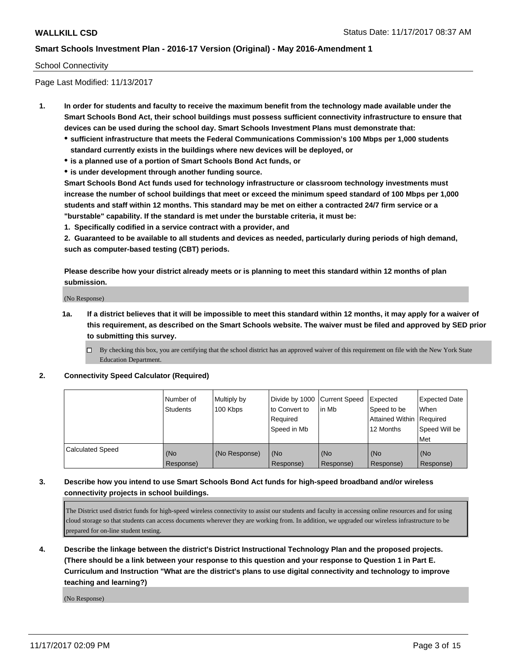#### School Connectivity

Page Last Modified: 11/13/2017

- **1. In order for students and faculty to receive the maximum benefit from the technology made available under the Smart Schools Bond Act, their school buildings must possess sufficient connectivity infrastructure to ensure that devices can be used during the school day. Smart Schools Investment Plans must demonstrate that:**
	- **sufficient infrastructure that meets the Federal Communications Commission's 100 Mbps per 1,000 students standard currently exists in the buildings where new devices will be deployed, or**
	- **is a planned use of a portion of Smart Schools Bond Act funds, or**
	- **is under development through another funding source.**

**Smart Schools Bond Act funds used for technology infrastructure or classroom technology investments must increase the number of school buildings that meet or exceed the minimum speed standard of 100 Mbps per 1,000 students and staff within 12 months. This standard may be met on either a contracted 24/7 firm service or a "burstable" capability. If the standard is met under the burstable criteria, it must be:**

**1. Specifically codified in a service contract with a provider, and**

**2. Guaranteed to be available to all students and devices as needed, particularly during periods of high demand, such as computer-based testing (CBT) periods.**

**Please describe how your district already meets or is planning to meet this standard within 12 months of plan submission.**

(No Response)

**1a. If a district believes that it will be impossible to meet this standard within 12 months, it may apply for a waiver of this requirement, as described on the Smart Schools website. The waiver must be filed and approved by SED prior to submitting this survey.**

**2. Connectivity Speed Calculator (Required)**

|                         | Number of<br>Students | Multiply by<br>100 Kbps | Divide by 1000 Current Speed<br>to Convert to<br>Required<br>Speed in Mb | in Mb            | Expected<br>Speed to be<br>Attained Within   Required<br>12 Months | <b>Expected Date</b><br>When<br>Speed Will be<br>Met |
|-------------------------|-----------------------|-------------------------|--------------------------------------------------------------------------|------------------|--------------------------------------------------------------------|------------------------------------------------------|
| <b>Calculated Speed</b> | (No<br>Response)      | (No Response)           | (No<br>Response)                                                         | (No<br>Response) | (No<br>Response)                                                   | (No<br>Response)                                     |

## **3. Describe how you intend to use Smart Schools Bond Act funds for high-speed broadband and/or wireless connectivity projects in school buildings.**

The District used district funds for high-speed wireless connectivity to assist our students and faculty in accessing online resources and for using cloud storage so that students can access documents wherever they are working from. In addition, we upgraded our wireless infrastructure to be prepared for on-line student testing.

**4. Describe the linkage between the district's District Instructional Technology Plan and the proposed projects. (There should be a link between your response to this question and your response to Question 1 in Part E. Curriculum and Instruction "What are the district's plans to use digital connectivity and technology to improve teaching and learning?)**

(No Response)

 $\Box$  By checking this box, you are certifying that the school district has an approved waiver of this requirement on file with the New York State Education Department.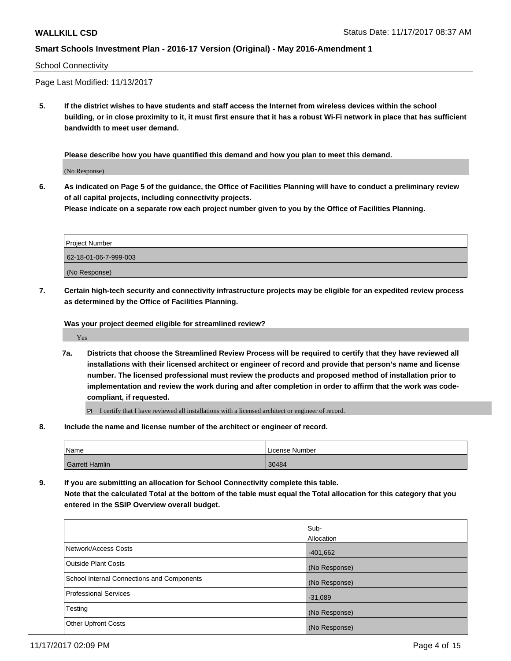#### School Connectivity

Page Last Modified: 11/13/2017

**5. If the district wishes to have students and staff access the Internet from wireless devices within the school building, or in close proximity to it, it must first ensure that it has a robust Wi-Fi network in place that has sufficient bandwidth to meet user demand.**

**Please describe how you have quantified this demand and how you plan to meet this demand.**

(No Response)

**6. As indicated on Page 5 of the guidance, the Office of Facilities Planning will have to conduct a preliminary review of all capital projects, including connectivity projects.**

**Please indicate on a separate row each project number given to you by the Office of Facilities Planning.**

| <b>Project Number</b> |  |
|-----------------------|--|
| 62-18-01-06-7-999-003 |  |
| (No Response)         |  |

**7. Certain high-tech security and connectivity infrastructure projects may be eligible for an expedited review process as determined by the Office of Facilities Planning.**

**Was your project deemed eligible for streamlined review?**

Yes

**7a. Districts that choose the Streamlined Review Process will be required to certify that they have reviewed all installations with their licensed architect or engineer of record and provide that person's name and license number. The licensed professional must review the products and proposed method of installation prior to implementation and review the work during and after completion in order to affirm that the work was codecompliant, if requested.**

I certify that I have reviewed all installations with a licensed architect or engineer of record.

**8. Include the name and license number of the architect or engineer of record.**

| Name           | License Number |
|----------------|----------------|
| Garrett Hamlin | 30484          |

**9. If you are submitting an allocation for School Connectivity complete this table. Note that the calculated Total at the bottom of the table must equal the Total allocation for this category that you entered in the SSIP Overview overall budget.** 

|                                            | Sub-<br>Allocation |
|--------------------------------------------|--------------------|
| Network/Access Costs                       | $-401,662$         |
| <b>Outside Plant Costs</b>                 | (No Response)      |
| School Internal Connections and Components | (No Response)      |
| <b>Professional Services</b>               | $-31,089$          |
| Testing                                    | (No Response)      |
| <b>Other Upfront Costs</b>                 | (No Response)      |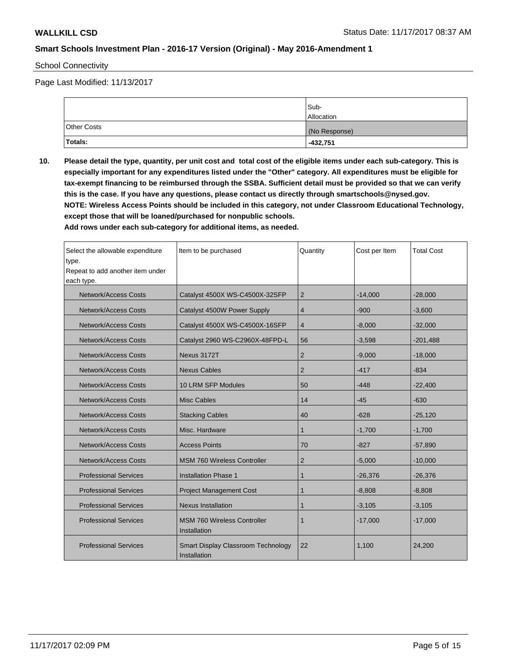School Connectivity

Page Last Modified: 11/13/2017

|             | Sub-<br><b>Allocation</b> |
|-------------|---------------------------|
| Other Costs | (No Response)             |
| Totals:     | $-432,751$                |

**10. Please detail the type, quantity, per unit cost and total cost of the eligible items under each sub-category. This is especially important for any expenditures listed under the "Other" category. All expenditures must be eligible for tax-exempt financing to be reimbursed through the SSBA. Sufficient detail must be provided so that we can verify this is the case. If you have any questions, please contact us directly through smartschools@nysed.gov. NOTE: Wireless Access Points should be included in this category, not under Classroom Educational Technology, except those that will be loaned/purchased for nonpublic schools.**

| Select the allowable expenditure<br>type.<br>Repeat to add another item under      | Item to be purchased                                     | Quantity       | Cost per Item | <b>Total Cost</b> |
|------------------------------------------------------------------------------------|----------------------------------------------------------|----------------|---------------|-------------------|
| each type.                                                                         |                                                          |                |               |                   |
| <b>Network/Access Costs</b>                                                        | Catalyst 4500X WS-C4500X-32SFP                           | 2              | $-14,000$     | $-28,000$         |
| <b>Network/Access Costs</b>                                                        | Catalyst 4500W Power Supply                              | 4              | $-900$        | $-3,600$          |
| <b>Network/Access Costs</b>                                                        | Catalyst 4500X WS-C4500X-16SFP                           | 4              | $-8,000$      | $-32,000$         |
| <b>Network/Access Costs</b>                                                        | Catalyst 2960 WS-C2960X-48FPD-L                          | 56             | $-3,598$      | $-201,488$        |
| <b>Network/Access Costs</b>                                                        | Nexus 3172T                                              | $\overline{2}$ | $-9,000$      | $-18,000$         |
| <b>Network/Access Costs</b>                                                        | <b>Nexus Cables</b>                                      | 2              | $-417$        | $-834$            |
| <b>Network/Access Costs</b>                                                        | 10 LRM SFP Modules                                       | 50             | $-448$        | $-22,400$         |
| <b>Network/Access Costs</b>                                                        | <b>Misc Cables</b>                                       | 14             | $-45$         | $-630$            |
| <b>Network/Access Costs</b>                                                        | <b>Stacking Cables</b>                                   | 40             | $-628$        | $-25,120$         |
| <b>Network/Access Costs</b>                                                        | Misc. Hardware                                           | 1              | $-1,700$      | $-1,700$          |
| <b>Network/Access Costs</b>                                                        | <b>Access Points</b>                                     | 70             | $-827$        | $-57,890$         |
| <b>Network/Access Costs</b>                                                        | <b>MSM 760 Wireless Controller</b>                       | 2              | $-5,000$      | $-10,000$         |
| <b>Professional Services</b>                                                       | <b>Installation Phase 1</b>                              | 1              | $-26,376$     | $-26,376$         |
| <b>Professional Services</b>                                                       | <b>Project Management Cost</b>                           | $\mathbf{1}$   | $-8,808$      | $-8,808$          |
| <b>Professional Services</b>                                                       | <b>Nexus Installation</b>                                | $\mathbf{1}$   | $-3,105$      | $-3,105$          |
| <b>Professional Services</b><br><b>MSM 760 Wireless Controller</b><br>Installation |                                                          | 1              | $-17,000$     | $-17,000$         |
| <b>Professional Services</b>                                                       | Smart Display Classroom Technology<br>22<br>Installation |                | 1,100         | 24,200            |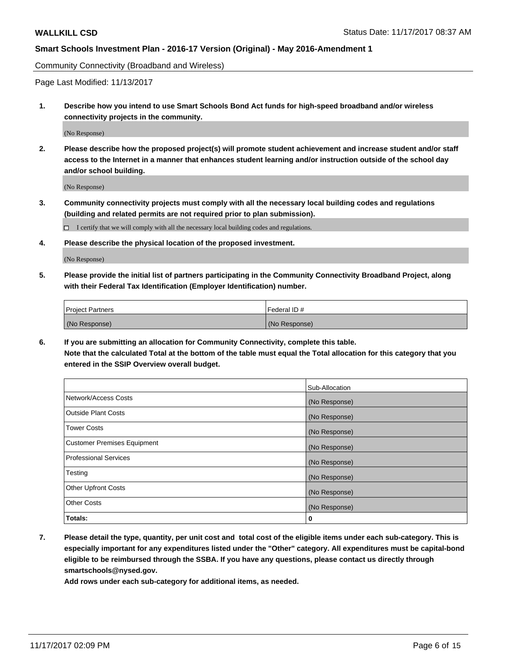Community Connectivity (Broadband and Wireless)

Page Last Modified: 11/13/2017

**1. Describe how you intend to use Smart Schools Bond Act funds for high-speed broadband and/or wireless connectivity projects in the community.**

(No Response)

**2. Please describe how the proposed project(s) will promote student achievement and increase student and/or staff access to the Internet in a manner that enhances student learning and/or instruction outside of the school day and/or school building.**

(No Response)

- **3. Community connectivity projects must comply with all the necessary local building codes and regulations (building and related permits are not required prior to plan submission).**
	- $\Box$  I certify that we will comply with all the necessary local building codes and regulations.
- **4. Please describe the physical location of the proposed investment.**

(No Response)

**5. Please provide the initial list of partners participating in the Community Connectivity Broadband Project, along with their Federal Tax Identification (Employer Identification) number.**

| <b>Project Partners</b> | l Federal ID # |
|-------------------------|----------------|
| (No Response)           | (No Response)  |

**6. If you are submitting an allocation for Community Connectivity, complete this table. Note that the calculated Total at the bottom of the table must equal the Total allocation for this category that you entered in the SSIP Overview overall budget.**

|                                    | Sub-Allocation |
|------------------------------------|----------------|
| Network/Access Costs               | (No Response)  |
| <b>Outside Plant Costs</b>         | (No Response)  |
| <b>Tower Costs</b>                 | (No Response)  |
| <b>Customer Premises Equipment</b> | (No Response)  |
| <b>Professional Services</b>       | (No Response)  |
| Testing                            | (No Response)  |
| <b>Other Upfront Costs</b>         | (No Response)  |
| <b>Other Costs</b>                 | (No Response)  |
| Totals:                            | 0              |

**7. Please detail the type, quantity, per unit cost and total cost of the eligible items under each sub-category. This is especially important for any expenditures listed under the "Other" category. All expenditures must be capital-bond eligible to be reimbursed through the SSBA. If you have any questions, please contact us directly through smartschools@nysed.gov.**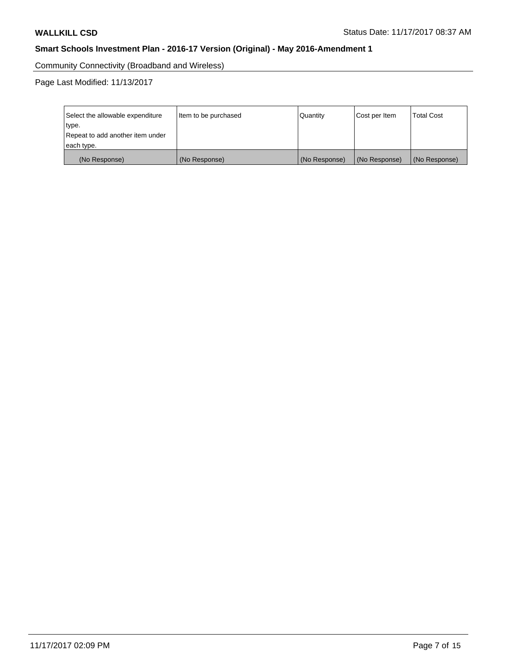Community Connectivity (Broadband and Wireless)

Page Last Modified: 11/13/2017

| Select the allowable expenditure<br>type.<br>Repeat to add another item under | Item to be purchased | Quantity      | <b>Total Cost</b><br>Cost per Item |               |
|-------------------------------------------------------------------------------|----------------------|---------------|------------------------------------|---------------|
| each type.                                                                    |                      |               |                                    |               |
| (No Response)                                                                 | (No Response)        | (No Response) | (No Response)                      | (No Response) |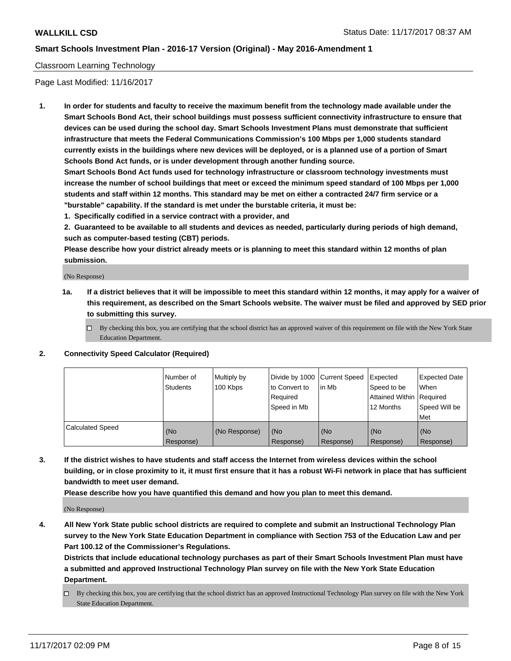#### Classroom Learning Technology

Page Last Modified: 11/16/2017

**1. In order for students and faculty to receive the maximum benefit from the technology made available under the Smart Schools Bond Act, their school buildings must possess sufficient connectivity infrastructure to ensure that devices can be used during the school day. Smart Schools Investment Plans must demonstrate that sufficient infrastructure that meets the Federal Communications Commission's 100 Mbps per 1,000 students standard currently exists in the buildings where new devices will be deployed, or is a planned use of a portion of Smart Schools Bond Act funds, or is under development through another funding source.**

**Smart Schools Bond Act funds used for technology infrastructure or classroom technology investments must increase the number of school buildings that meet or exceed the minimum speed standard of 100 Mbps per 1,000 students and staff within 12 months. This standard may be met on either a contracted 24/7 firm service or a "burstable" capability. If the standard is met under the burstable criteria, it must be:**

**1. Specifically codified in a service contract with a provider, and**

**2. Guaranteed to be available to all students and devices as needed, particularly during periods of high demand, such as computer-based testing (CBT) periods.**

**Please describe how your district already meets or is planning to meet this standard within 12 months of plan submission.**

(No Response)

- **1a. If a district believes that it will be impossible to meet this standard within 12 months, it may apply for a waiver of this requirement, as described on the Smart Schools website. The waiver must be filed and approved by SED prior to submitting this survey.**
	- $\Box$  By checking this box, you are certifying that the school district has an approved waiver of this requirement on file with the New York State Education Department.

#### **2. Connectivity Speed Calculator (Required)**

|                         | Number of<br><b>Students</b> | Multiply by<br>100 Kbps | Divide by 1000 Current Speed<br>to Convert to<br>Required<br>Speed in Mb | in Mb                        | Expected<br>Speed to be<br>Attained Within   Required<br>12 Months | <b>Expected Date</b><br><b>When</b><br>Speed Will be<br>Met |
|-------------------------|------------------------------|-------------------------|--------------------------------------------------------------------------|------------------------------|--------------------------------------------------------------------|-------------------------------------------------------------|
| <b>Calculated Speed</b> | (No<br>Response)             | (No Response)           | (No<br>Response)                                                         | KN <sub>O</sub><br>Response) | (No<br>Response)                                                   | (No<br>Response)                                            |

**3. If the district wishes to have students and staff access the Internet from wireless devices within the school building, or in close proximity to it, it must first ensure that it has a robust Wi-Fi network in place that has sufficient bandwidth to meet user demand.**

**Please describe how you have quantified this demand and how you plan to meet this demand.**

(No Response)

**4. All New York State public school districts are required to complete and submit an Instructional Technology Plan survey to the New York State Education Department in compliance with Section 753 of the Education Law and per Part 100.12 of the Commissioner's Regulations.**

**Districts that include educational technology purchases as part of their Smart Schools Investment Plan must have a submitted and approved Instructional Technology Plan survey on file with the New York State Education Department.**

By checking this box, you are certifying that the school district has an approved Instructional Technology Plan survey on file with the New York State Education Department.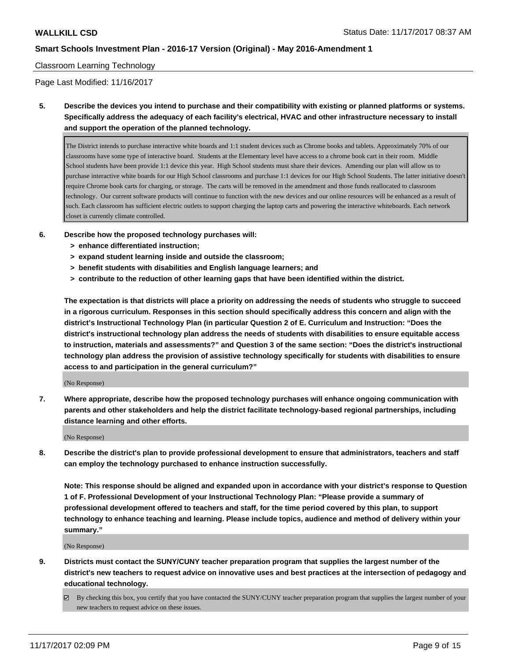#### Classroom Learning Technology

Page Last Modified: 11/16/2017

**5. Describe the devices you intend to purchase and their compatibility with existing or planned platforms or systems. Specifically address the adequacy of each facility's electrical, HVAC and other infrastructure necessary to install and support the operation of the planned technology.**

The District intends to purchase interactive white boards and 1:1 student devices such as Chrome books and tablets. Approximately 70% of our classrooms have some type of interactive board. Students at the Elementary level have access to a chrome book cart in their room. Middle School students have been provide 1:1 device this year. High School students must share their devices. Amending our plan will allow us to purchase interactive white boards for our High School classrooms and purchase 1:1 devices for our High School Students. The latter initiative doesn't require Chrome book carts for charging, or storage. The carts will be removed in the amendment and those funds reallocated to classroom technology. Our current software products will continue to function with the new devices and our online resources will be enhanced as a result of such. Each classroom has sufficient electric outlets to support charging the laptop carts and powering the interactive whiteboards. Each network closet is currently climate controlled.

- **6. Describe how the proposed technology purchases will:**
	- **> enhance differentiated instruction;**
	- **> expand student learning inside and outside the classroom;**
	- **> benefit students with disabilities and English language learners; and**
	- **> contribute to the reduction of other learning gaps that have been identified within the district.**

**The expectation is that districts will place a priority on addressing the needs of students who struggle to succeed in a rigorous curriculum. Responses in this section should specifically address this concern and align with the district's Instructional Technology Plan (in particular Question 2 of E. Curriculum and Instruction: "Does the district's instructional technology plan address the needs of students with disabilities to ensure equitable access to instruction, materials and assessments?" and Question 3 of the same section: "Does the district's instructional technology plan address the provision of assistive technology specifically for students with disabilities to ensure access to and participation in the general curriculum?"**

(No Response)

**7. Where appropriate, describe how the proposed technology purchases will enhance ongoing communication with parents and other stakeholders and help the district facilitate technology-based regional partnerships, including distance learning and other efforts.**

(No Response)

**8. Describe the district's plan to provide professional development to ensure that administrators, teachers and staff can employ the technology purchased to enhance instruction successfully.**

**Note: This response should be aligned and expanded upon in accordance with your district's response to Question 1 of F. Professional Development of your Instructional Technology Plan: "Please provide a summary of professional development offered to teachers and staff, for the time period covered by this plan, to support technology to enhance teaching and learning. Please include topics, audience and method of delivery within your summary."**

(No Response)

- **9. Districts must contact the SUNY/CUNY teacher preparation program that supplies the largest number of the district's new teachers to request advice on innovative uses and best practices at the intersection of pedagogy and educational technology.**
	- $\boxtimes$  By checking this box, you certify that you have contacted the SUNY/CUNY teacher preparation program that supplies the largest number of your new teachers to request advice on these issues.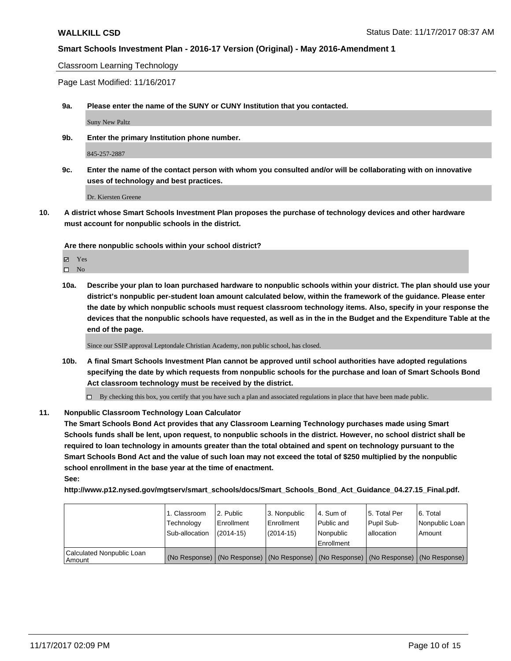Classroom Learning Technology

Page Last Modified: 11/16/2017

**9a. Please enter the name of the SUNY or CUNY Institution that you contacted.**

Suny New Paltz

**9b. Enter the primary Institution phone number.**

845-257-2887

**9c. Enter the name of the contact person with whom you consulted and/or will be collaborating with on innovative uses of technology and best practices.**

Dr. Kiersten Greene

**10. A district whose Smart Schools Investment Plan proposes the purchase of technology devices and other hardware must account for nonpublic schools in the district.**

**Are there nonpublic schools within your school district?**

Yes

 $\square$  No

**10a. Describe your plan to loan purchased hardware to nonpublic schools within your district. The plan should use your district's nonpublic per-student loan amount calculated below, within the framework of the guidance. Please enter the date by which nonpublic schools must request classroom technology items. Also, specify in your response the devices that the nonpublic schools have requested, as well as in the in the Budget and the Expenditure Table at the end of the page.**

Since our SSIP approval Leptondale Christian Academy, non public school, has closed.

- **10b. A final Smart Schools Investment Plan cannot be approved until school authorities have adopted regulations specifying the date by which requests from nonpublic schools for the purchase and loan of Smart Schools Bond Act classroom technology must be received by the district.**
	- $\Box$  By checking this box, you certify that you have such a plan and associated regulations in place that have been made public.

#### **11. Nonpublic Classroom Technology Loan Calculator**

**The Smart Schools Bond Act provides that any Classroom Learning Technology purchases made using Smart Schools funds shall be lent, upon request, to nonpublic schools in the district. However, no school district shall be required to loan technology in amounts greater than the total obtained and spent on technology pursuant to the Smart Schools Bond Act and the value of such loan may not exceed the total of \$250 multiplied by the nonpublic school enrollment in the base year at the time of enactment. See:**

**http://www.p12.nysed.gov/mgtserv/smart\_schools/docs/Smart\_Schools\_Bond\_Act\_Guidance\_04.27.15\_Final.pdf.**

|                                       | 1. Classroom<br>Technology<br>Sub-allocation | l 2. Public<br>l Enrollment<br>$(2014 - 15)$ | 3. Nonpublic<br>Enrollment<br>$(2014-15)$ | l 4. Sum of<br>Public and<br>l Nonpublic<br>Enrollment | 15. Total Per<br>Pupil Sub-<br>allocation | l 6. Total<br>Nonpublic Loan<br>l Amount                                                      |
|---------------------------------------|----------------------------------------------|----------------------------------------------|-------------------------------------------|--------------------------------------------------------|-------------------------------------------|-----------------------------------------------------------------------------------------------|
| Calculated Nonpublic Loan<br>l Amount |                                              |                                              |                                           |                                                        |                                           | (No Response)   (No Response)   (No Response)   (No Response)   (No Response)   (No Response) |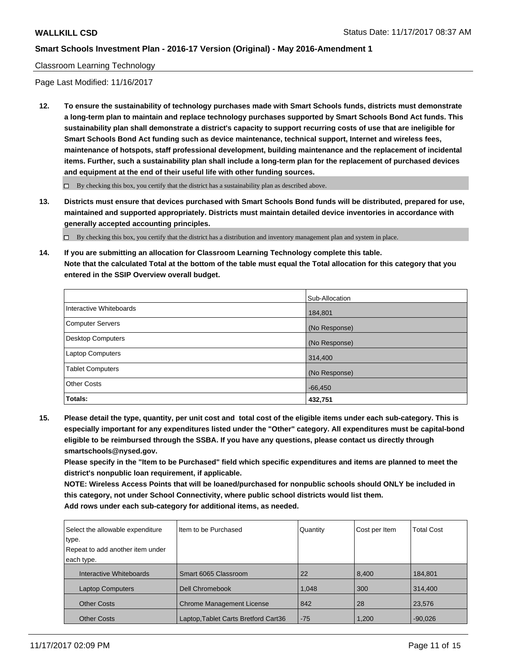#### Classroom Learning Technology

Page Last Modified: 11/16/2017

**12. To ensure the sustainability of technology purchases made with Smart Schools funds, districts must demonstrate a long-term plan to maintain and replace technology purchases supported by Smart Schools Bond Act funds. This sustainability plan shall demonstrate a district's capacity to support recurring costs of use that are ineligible for Smart Schools Bond Act funding such as device maintenance, technical support, Internet and wireless fees, maintenance of hotspots, staff professional development, building maintenance and the replacement of incidental items. Further, such a sustainability plan shall include a long-term plan for the replacement of purchased devices and equipment at the end of their useful life with other funding sources.**

 $\Box$  By checking this box, you certify that the district has a sustainability plan as described above.

**13. Districts must ensure that devices purchased with Smart Schools Bond funds will be distributed, prepared for use, maintained and supported appropriately. Districts must maintain detailed device inventories in accordance with generally accepted accounting principles.**

By checking this box, you certify that the district has a distribution and inventory management plan and system in place.

**14. If you are submitting an allocation for Classroom Learning Technology complete this table. Note that the calculated Total at the bottom of the table must equal the Total allocation for this category that you entered in the SSIP Overview overall budget.**

|                          | Sub-Allocation |
|--------------------------|----------------|
| Interactive Whiteboards  | 184,801        |
| Computer Servers         | (No Response)  |
| <b>Desktop Computers</b> | (No Response)  |
| <b>Laptop Computers</b>  | 314,400        |
| <b>Tablet Computers</b>  | (No Response)  |
| <b>Other Costs</b>       | $-66,450$      |
| Totals:                  | 432,751        |

**15. Please detail the type, quantity, per unit cost and total cost of the eligible items under each sub-category. This is especially important for any expenditures listed under the "Other" category. All expenditures must be capital-bond eligible to be reimbursed through the SSBA. If you have any questions, please contact us directly through smartschools@nysed.gov.**

**Please specify in the "Item to be Purchased" field which specific expenditures and items are planned to meet the district's nonpublic loan requirement, if applicable.**

**NOTE: Wireless Access Points that will be loaned/purchased for nonpublic schools should ONLY be included in this category, not under School Connectivity, where public school districts would list them. Add rows under each sub-category for additional items, as needed.**

| Select the allowable expenditure | Iltem to be Purchased                | Quantity | Cost per Item | <b>Total Cost</b> |
|----------------------------------|--------------------------------------|----------|---------------|-------------------|
| type.                            |                                      |          |               |                   |
| Repeat to add another item under |                                      |          |               |                   |
| each type.                       |                                      |          |               |                   |
| Interactive Whiteboards          | Smart 6065 Classroom                 | 22       | 8,400         | 184,801           |
| <b>Laptop Computers</b>          | Dell Chromebook                      | 1,048    | 300           | 314,400           |
| <b>Other Costs</b>               | <b>Chrome Management License</b>     | 842      | 28            | 23,576            |
| <b>Other Costs</b>               | Laptop, Tablet Carts Bretford Cart36 | $-75$    | 1,200         | $-90,026$         |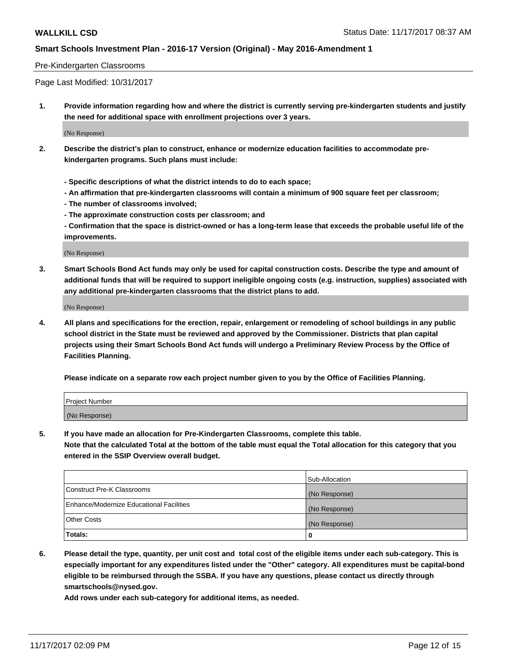#### Pre-Kindergarten Classrooms

Page Last Modified: 10/31/2017

**1. Provide information regarding how and where the district is currently serving pre-kindergarten students and justify the need for additional space with enrollment projections over 3 years.**

(No Response)

- **2. Describe the district's plan to construct, enhance or modernize education facilities to accommodate prekindergarten programs. Such plans must include:**
	- **Specific descriptions of what the district intends to do to each space;**
	- **An affirmation that pre-kindergarten classrooms will contain a minimum of 900 square feet per classroom;**
	- **The number of classrooms involved;**
	- **The approximate construction costs per classroom; and**

**- Confirmation that the space is district-owned or has a long-term lease that exceeds the probable useful life of the improvements.**

(No Response)

**3. Smart Schools Bond Act funds may only be used for capital construction costs. Describe the type and amount of additional funds that will be required to support ineligible ongoing costs (e.g. instruction, supplies) associated with any additional pre-kindergarten classrooms that the district plans to add.**

(No Response)

**4. All plans and specifications for the erection, repair, enlargement or remodeling of school buildings in any public school district in the State must be reviewed and approved by the Commissioner. Districts that plan capital projects using their Smart Schools Bond Act funds will undergo a Preliminary Review Process by the Office of Facilities Planning.**

**Please indicate on a separate row each project number given to you by the Office of Facilities Planning.**

| Project Number |  |
|----------------|--|
| (No Response)  |  |

**5. If you have made an allocation for Pre-Kindergarten Classrooms, complete this table.**

**Note that the calculated Total at the bottom of the table must equal the Total allocation for this category that you entered in the SSIP Overview overall budget.**

|                                          | Sub-Allocation |
|------------------------------------------|----------------|
| Construct Pre-K Classrooms               | (No Response)  |
| Enhance/Modernize Educational Facilities | (No Response)  |
| <b>Other Costs</b>                       | (No Response)  |
| <b>Totals:</b>                           | 0              |

**6. Please detail the type, quantity, per unit cost and total cost of the eligible items under each sub-category. This is especially important for any expenditures listed under the "Other" category. All expenditures must be capital-bond eligible to be reimbursed through the SSBA. If you have any questions, please contact us directly through smartschools@nysed.gov.**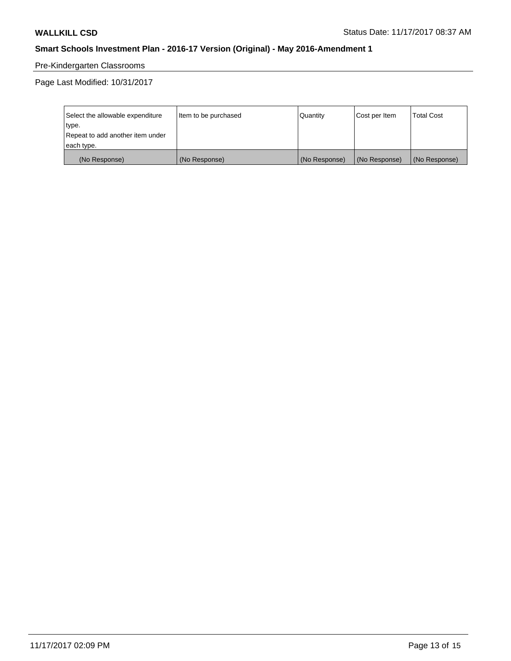# Pre-Kindergarten Classrooms

Page Last Modified: 10/31/2017

| Select the allowable expenditure | Item to be purchased | Quantity      | Cost per Item | <b>Total Cost</b> |
|----------------------------------|----------------------|---------------|---------------|-------------------|
| type.                            |                      |               |               |                   |
| Repeat to add another item under |                      |               |               |                   |
| each type.                       |                      |               |               |                   |
| (No Response)                    | (No Response)        | (No Response) | (No Response) | (No Response)     |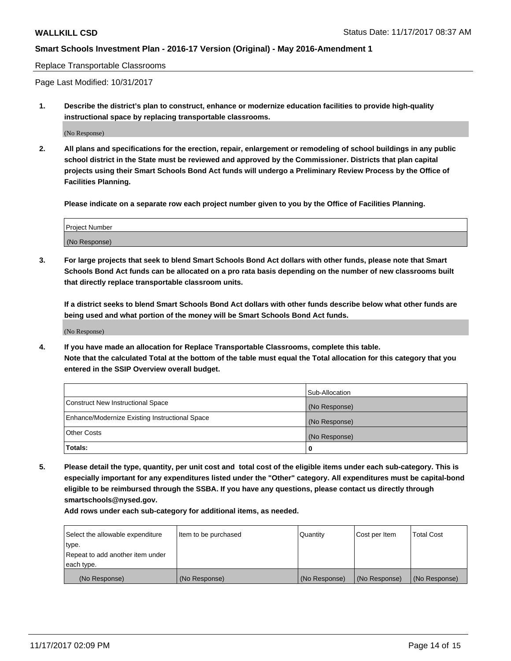#### Replace Transportable Classrooms

Page Last Modified: 10/31/2017

**1. Describe the district's plan to construct, enhance or modernize education facilities to provide high-quality instructional space by replacing transportable classrooms.**

(No Response)

**2. All plans and specifications for the erection, repair, enlargement or remodeling of school buildings in any public school district in the State must be reviewed and approved by the Commissioner. Districts that plan capital projects using their Smart Schools Bond Act funds will undergo a Preliminary Review Process by the Office of Facilities Planning.**

**Please indicate on a separate row each project number given to you by the Office of Facilities Planning.**

| <b>Project Number</b> |  |
|-----------------------|--|
| (No Response)         |  |

**3. For large projects that seek to blend Smart Schools Bond Act dollars with other funds, please note that Smart Schools Bond Act funds can be allocated on a pro rata basis depending on the number of new classrooms built that directly replace transportable classroom units.**

**If a district seeks to blend Smart Schools Bond Act dollars with other funds describe below what other funds are being used and what portion of the money will be Smart Schools Bond Act funds.**

(No Response)

**4. If you have made an allocation for Replace Transportable Classrooms, complete this table. Note that the calculated Total at the bottom of the table must equal the Total allocation for this category that you entered in the SSIP Overview overall budget.**

|                                                | Sub-Allocation |
|------------------------------------------------|----------------|
| Construct New Instructional Space              | (No Response)  |
| Enhance/Modernize Existing Instructional Space | (No Response)  |
| <b>Other Costs</b>                             | (No Response)  |
| Totals:                                        | 0              |

**5. Please detail the type, quantity, per unit cost and total cost of the eligible items under each sub-category. This is especially important for any expenditures listed under the "Other" category. All expenditures must be capital-bond eligible to be reimbursed through the SSBA. If you have any questions, please contact us directly through smartschools@nysed.gov.**

| Select the allowable expenditure<br>type.<br>Repeat to add another item under<br>each type. | Item to be purchased | Quantity      | Cost per Item | <b>Total Cost</b> |
|---------------------------------------------------------------------------------------------|----------------------|---------------|---------------|-------------------|
|                                                                                             |                      |               |               |                   |
| (No Response)                                                                               | (No Response)        | (No Response) | (No Response) | (No Response)     |